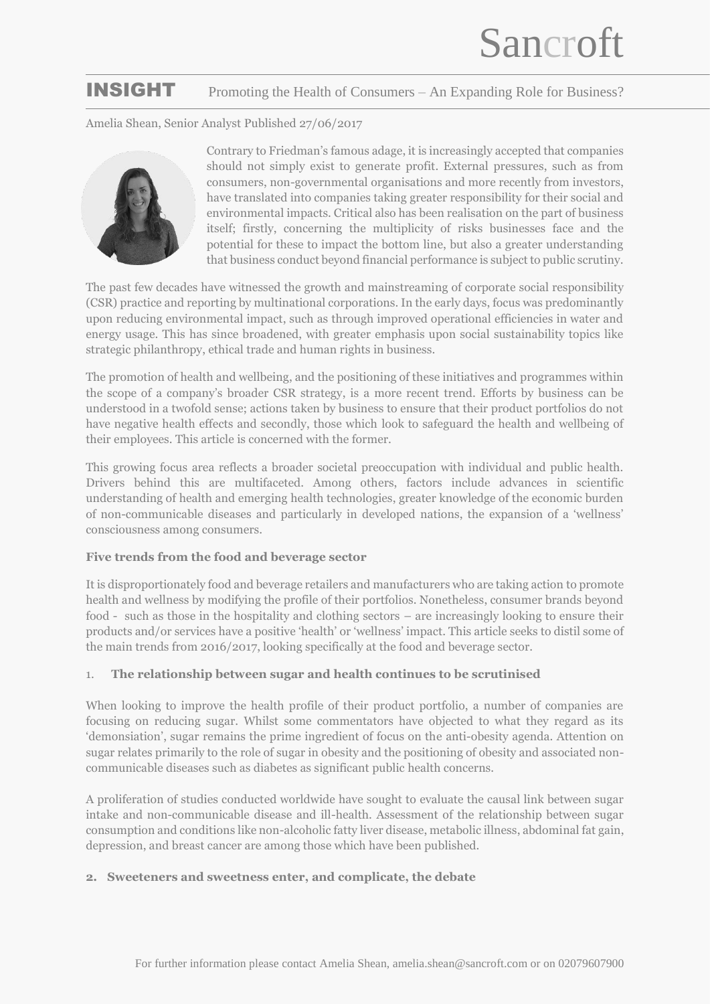# INSIGHT Promoting the Health of Consumers – An Expanding Role for Business?

Amelia Shean, Senior Analyst Published 27/06/2017



Contrary to Friedman's famous adage, it is increasingly accepted that companies should not simply exist to generate profit. External pressures, such as from consumers, non-governmental organisations and more recently from investors, have translated into companies taking greater responsibility for their social and environmental impacts. Critical also has been realisation on the part of business itself; firstly, concerning the multiplicity of risks businesses face and the potential for these to impact the bottom line, but also a greater understanding that business conduct beyond financial performance is subject to public scrutiny.

The past few decades have witnessed the growth and mainstreaming of corporate social responsibility (CSR) practice and reporting by multinational corporations. In the early days, focus was predominantly upon reducing environmental impact, such as through improved operational efficiencies in water and energy usage. This has since broadened, with greater emphasis upon social sustainability topics like strategic philanthropy, ethical trade and human rights in business.

The promotion of health and wellbeing, and the positioning of these initiatives and programmes within the scope of a company's broader CSR strategy, is a more recent trend. Efforts by business can be understood in a twofold sense; actions taken by business to ensure that their product portfolios do not have negative health effects and secondly, those which look to safeguard the health and wellbeing of their employees. This article is concerned with the former.

This growing focus area reflects a broader societal preoccupation with individual and public health. Drivers behind this are multifaceted. Among others, factors include advances in scientific understanding of health and emerging health technologies, greater knowledge of the economic burden of non-communicable diseases and particularly in developed nations, the expansion of a 'wellness' consciousness among consumers.

# **Five trends from the food and beverage sector**

It is disproportionately food and beverage retailers and manufacturers who are taking action to promote health and wellness by modifying the profile of their portfolios. Nonetheless, consumer brands beyond food - such as those in the hospitality and clothing sectors – are increasingly looking to ensure their products and/or services have a positive 'health' or 'wellness' impact. This article seeks to distil some of the main trends from 2016/2017, looking specifically at the food and beverage sector.

# 1. **The relationship between sugar and health continues to be scrutinised**

When looking to improve the health profile of their product portfolio, a number of companies are focusing on reducing sugar. Whilst some commentators have objected to what they regard as its 'demonsiation', sugar remains the prime ingredient of focus on the anti-obesity agenda. Attention on sugar relates primarily to the role of sugar in obesity and the positioning of obesity and associated noncommunicable diseases such as diabetes as significant public health concerns.

A proliferation of studies conducted worldwide have sought to evaluate the causal link between sugar intake and non-communicable disease and ill-health. Assessment of the relationship between sugar consumption and conditions like non-alcoholic fatty liver disease, metabolic illness, abdominal fat gain, depression, and breast cancer are among those which have been published.

# **2. Sweeteners and sweetness enter, and complicate, the debate**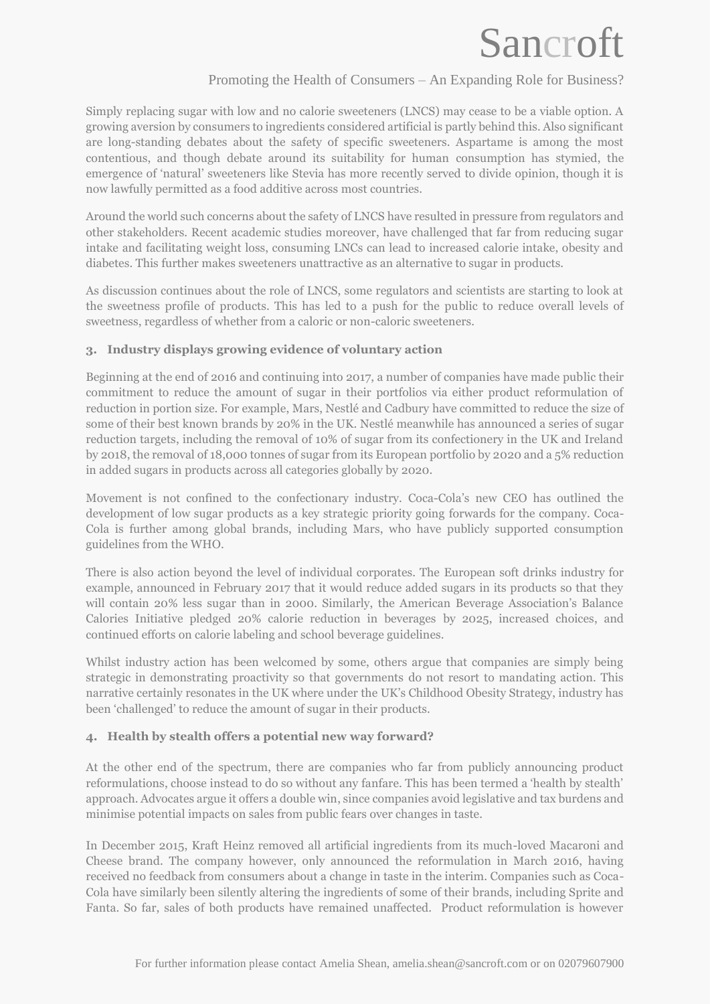# Sancroft

# Promoting the Health of Consumers – An Expanding Role for Business?

Simply replacing sugar with low and no calorie sweeteners (LNCS) may cease to be a viable option. A growing aversion by consumers to ingredients considered artificial is partly behind this. Also significant are long-standing debates about the safety of specific sweeteners. Aspartame is among the most contentious, and though debate around its suitability for human consumption has stymied, the emergence of 'natural' sweeteners like Stevia has more recently served to divide opinion, though it is now lawfully permitted as a food additive across most countries.

Around the world such concerns about the safety of LNCS have resulted in pressure from regulators and other stakeholders. Recent academic studies moreover, have challenged that far from reducing sugar intake and facilitating weight loss, consuming LNCs can lead to increased calorie intake, obesity and diabetes. This further makes sweeteners unattractive as an alternative to sugar in products.

As discussion continues about the role of LNCS, some regulators and scientists are starting to look at the sweetness profile of products. This has led to a push for the public to reduce overall levels of sweetness, regardless of whether from a caloric or non-caloric sweeteners.

#### **3. Industry displays growing evidence of voluntary action**

Beginning at the end of 2016 and continuing into 2017, a number of companies have made public their commitment to reduce the amount of sugar in their portfolios via either product reformulation of reduction in portion size. For example, Mars, Nestlé and Cadbury have committed to reduce the size of some of their best known brands by 20% in the UK. Nestlé meanwhile has announced a series of sugar reduction targets, including the removal of 10% of sugar from its confectionery in the UK and Ireland by 2018, the removal of 18,000 tonnes of sugar from its European portfolio by 2020 and a 5% reduction in added sugars in products across all categories globally by 2020.

Movement is not confined to the confectionary industry. Coca-Cola's new CEO has outlined the development of low sugar products as a key strategic priority going forwards for the company. Coca-Cola is further among global brands, including Mars, who have publicly supported consumption guidelines from the WHO.

There is also action beyond the level of individual corporates. The European soft drinks industry for example, announced in February 2017 that it would reduce added sugars in its products so that they will contain 20% less sugar than in 2000. Similarly, the American Beverage Association's Balance Calories Initiative pledged 20% calorie reduction in beverages by 2025, increased choices, and continued efforts on calorie labeling and school beverage guidelines.

Whilst industry action has been welcomed by some, others argue that companies are simply being strategic in demonstrating proactivity so that governments do not resort to mandating action. This narrative certainly resonates in the UK where under the UK's Childhood Obesity Strategy, industry has been 'challenged' to reduce the amount of sugar in their products.

# **4. Health by stealth offers a potential new way forward?**

At the other end of the spectrum, there are companies who far from publicly announcing product reformulations, choose instead to do so without any fanfare. This has been termed a 'health by stealth' approach. Advocates argue it offers a double win, since companies avoid legislative and tax burdens and minimise potential impacts on sales from public fears over changes in taste.

In December 2015, Kraft Heinz removed all artificial ingredients from its much-loved Macaroni and Cheese brand. The company however, only announced the reformulation in March 2016, having received no feedback from consumers about a change in taste in the interim. Companies such as Coca-Cola have similarly been silently altering the ingredients of some of their brands, including Sprite and Fanta. So far, sales of both products have remained unaffected. Product reformulation is however